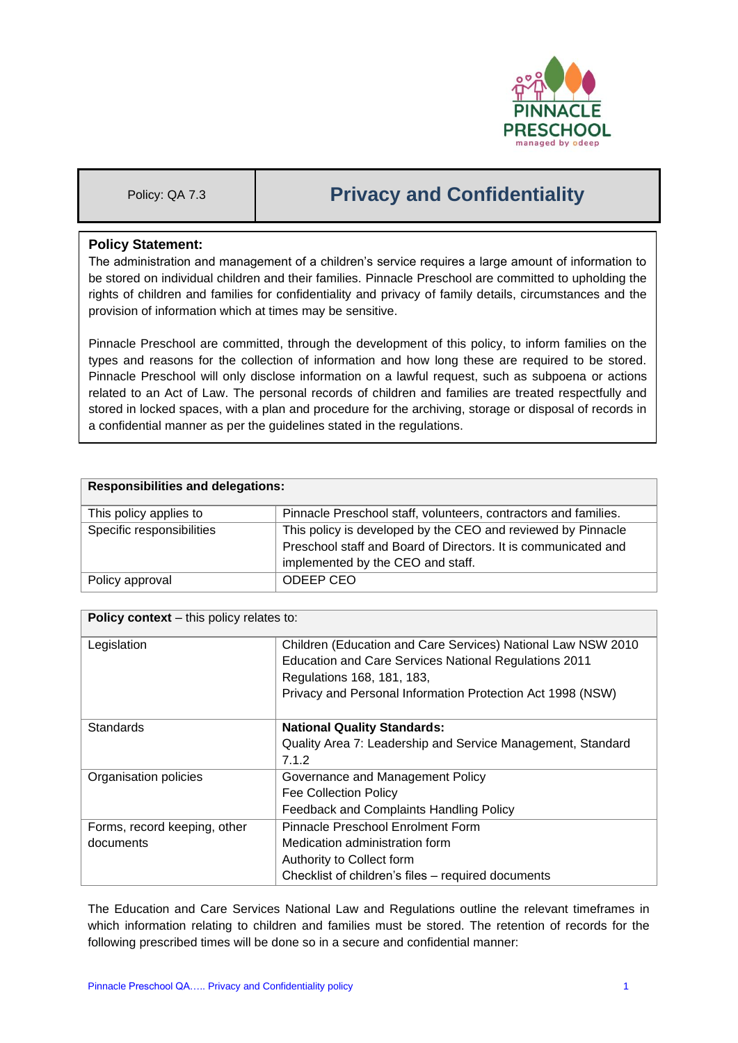

# Policy: QA 7.3 **Privacy and Confidentiality**

# **Policy Statement:**

The administration and management of a children's service requires a large amount of information to be stored on individual children and their families. Pinnacle Preschool are committed to upholding the rights of children and families for confidentiality and privacy of family details, circumstances and the provision of information which at times may be sensitive.

Pinnacle Preschool are committed, through the development of this policy, to inform families on the types and reasons for the collection of information and how long these are required to be stored. Pinnacle Preschool will only disclose information on a lawful request, such as subpoena or actions related to an Act of Law. The personal records of children and families are treated respectfully and stored in locked spaces, with a plan and procedure for the archiving, storage or disposal of records in a confidential manner as per the guidelines stated in the regulations.

| <b>Responsibilities and delegations:</b> |                                                                                                                                                                     |  |
|------------------------------------------|---------------------------------------------------------------------------------------------------------------------------------------------------------------------|--|
| This policy applies to                   | Pinnacle Preschool staff, volunteers, contractors and families.                                                                                                     |  |
| Specific responsibilities                | This policy is developed by the CEO and reviewed by Pinnacle<br>Preschool staff and Board of Directors. It is communicated and<br>implemented by the CEO and staff. |  |
| Policy approval                          | ODEEP CEO                                                                                                                                                           |  |

| <b>Policy context</b> – this policy relates to: |                                                              |  |  |
|-------------------------------------------------|--------------------------------------------------------------|--|--|
| Legislation                                     | Children (Education and Care Services) National Law NSW 2010 |  |  |
|                                                 | Education and Care Services National Regulations 2011        |  |  |
|                                                 | Regulations 168, 181, 183,                                   |  |  |
|                                                 | Privacy and Personal Information Protection Act 1998 (NSW)   |  |  |
|                                                 |                                                              |  |  |
| <b>Standards</b>                                | <b>National Quality Standards:</b>                           |  |  |
|                                                 | Quality Area 7: Leadership and Service Management, Standard  |  |  |
|                                                 | 7.1.2                                                        |  |  |
| Organisation policies                           | Governance and Management Policy                             |  |  |
|                                                 | <b>Fee Collection Policy</b>                                 |  |  |
|                                                 | Feedback and Complaints Handling Policy                      |  |  |
| Forms, record keeping, other                    | Pinnacle Preschool Enrolment Form                            |  |  |
| documents                                       | Medication administration form                               |  |  |
|                                                 | Authority to Collect form                                    |  |  |
|                                                 | Checklist of children's files - required documents           |  |  |

The Education and Care Services National Law and Regulations outline the relevant timeframes in which information relating to children and families must be stored. The retention of records for the following prescribed times will be done so in a secure and confidential manner: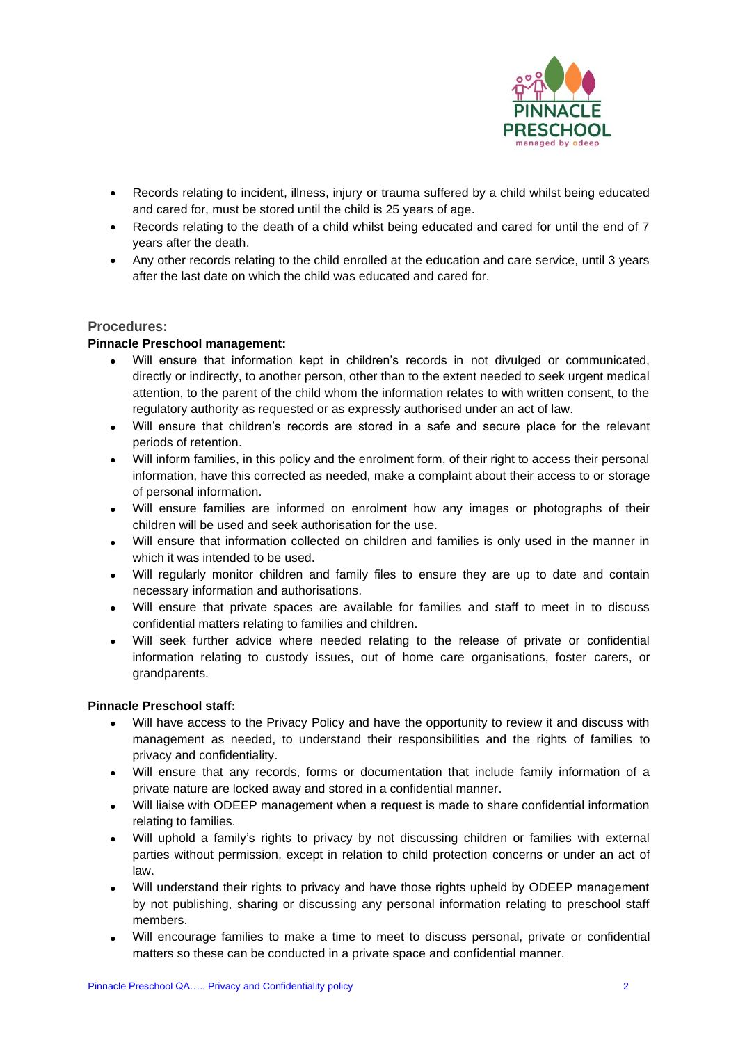

- Records relating to incident, illness, injury or trauma suffered by a child whilst being educated and cared for, must be stored until the child is 25 years of age.
- Records relating to the death of a child whilst being educated and cared for until the end of 7 years after the death.
- Any other records relating to the child enrolled at the education and care service, until 3 years after the last date on which the child was educated and cared for.

## **Procedures:**

#### **Pinnacle Preschool management:**

- Will ensure that information kept in children's records in not divulged or communicated, directly or indirectly, to another person, other than to the extent needed to seek urgent medical attention, to the parent of the child whom the information relates to with written consent, to the regulatory authority as requested or as expressly authorised under an act of law.
- Will ensure that children's records are stored in a safe and secure place for the relevant periods of retention.
- Will inform families, in this policy and the enrolment form, of their right to access their personal information, have this corrected as needed, make a complaint about their access to or storage of personal information.
- Will ensure families are informed on enrolment how any images or photographs of their children will be used and seek authorisation for the use.
- Will ensure that information collected on children and families is only used in the manner in which it was intended to be used.
- Will regularly monitor children and family files to ensure they are up to date and contain necessary information and authorisations.
- Will ensure that private spaces are available for families and staff to meet in to discuss confidential matters relating to families and children.
- Will seek further advice where needed relating to the release of private or confidential information relating to custody issues, out of home care organisations, foster carers, or grandparents.

#### **Pinnacle Preschool staff:**

- Will have access to the Privacy Policy and have the opportunity to review it and discuss with management as needed, to understand their responsibilities and the rights of families to privacy and confidentiality.
- Will ensure that any records, forms or documentation that include family information of a private nature are locked away and stored in a confidential manner.
- Will liaise with ODEEP management when a request is made to share confidential information relating to families.
- Will uphold a family's rights to privacy by not discussing children or families with external parties without permission, except in relation to child protection concerns or under an act of law.
- Will understand their rights to privacy and have those rights upheld by ODEEP management by not publishing, sharing or discussing any personal information relating to preschool staff members.
- Will encourage families to make a time to meet to discuss personal, private or confidential matters so these can be conducted in a private space and confidential manner.